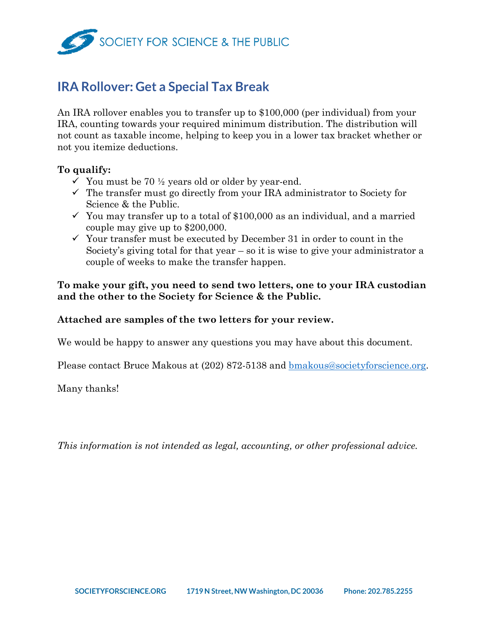

# **IRA Rollover: Get a Special Tax Break**

An IRA rollover enables you to transfer up to \$100,000 (per individual) from your IRA, counting towards your required minimum distribution. The distribution will not count as taxable income, helping to keep you in a lower tax bracket whether or not you itemize deductions.

#### **To qualify:**

- $\checkmark$  You must be 70 ½ years old or older by year-end.
- $\checkmark$  The transfer must go directly from your IRA administrator to Society for Science & the Public.
- $\checkmark$  You may transfer up to a total of \$100,000 as an individual, and a married couple may give up to \$200,000.
- $\checkmark$  Your transfer must be executed by December 31 in order to count in the Society's giving total for that year – so it is wise to give your administrator a couple of weeks to make the transfer happen.

**To make your gift, you need to send two letters, one to your IRA custodian and the other to the Society for Science & the Public.** 

#### **Attached are samples of the two letters for your review.**

We would be happy to answer any questions you may have about this document.

Please contact Bruce Makous at (202) 872-5138 and [bmakous@societyforscience.org.](mailto:bmakous@societyforscience.org)

Many thanks!

*This information is not intended as legal, accounting, or other professional advice.*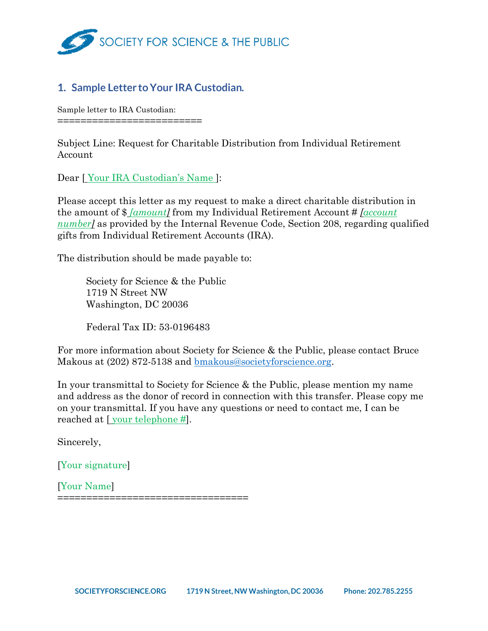

## 1. Sample Letter to Your IRA Custodian.

Sample letter to IRA Custodian: =========================

Subject Line: Request for Charitable Distribution from Individual Retirement Account

Dear [ Your IRA Custodian's Name ]:

Please accept this letter as my request to make a direct charitable distribution in the amount of \$ *[amount]* from my Individual Retirement Account # *[account number* as provided by the Internal Revenue Code, Section 208, regarding qualified gifts from Individual Retirement Accounts (IRA).

The distribution should be made payable to:

Society for Science & the Public 1719 N Street NW Washington, DC 20036

Federal Tax ID: 53-0196483

For more information about Society for Science & the Public, please contact Bruce Makous at (202) 872-5138 and <u>bmakous@societyforscience.org</u>.

In your transmittal to Society for Science & the Public, please mention my name and address as the donor of record in connection with this transfer. Please copy me on your transmittal. If you have any questions or need to contact me, I can be reached at [ your telephone #].

Sincerely,

[Your signature]

[Your Name] =================================